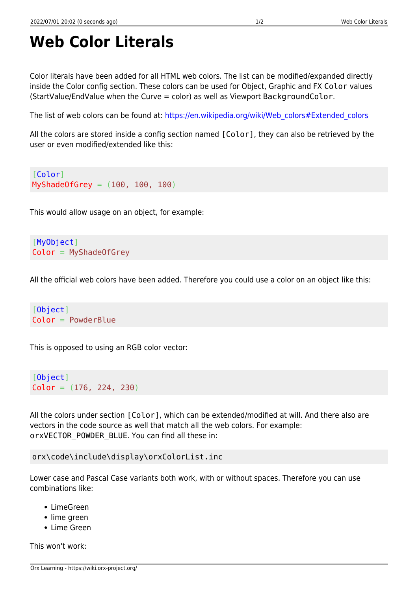## **Web Color Literals**

Color literals have been added for all HTML web colors. The list can be modified/expanded directly inside the Color config section. These colors can be used for Object, Graphic and FX Color values (StartValue/EndValue when the Curve = color) as well as Viewport BackgroundColor.

The list of web colors can be found at: https://en.wikipedia.org/wiki/Web colors#Extended colors

All the colors are stored inside a config section named [Color], they can also be retrieved by the user or even modified/extended like this:

```
[Color]
MyShadeOfGrey = (100, 100, 100)
```
This would allow usage on an object, for example:

[MyObject] Color = MyShadeOfGrey

All the official web colors have been added. Therefore you could use a color on an object like this:

[Object] Color = PowderBlue

This is opposed to using an RGB color vector:

```
[Object]
Color = (176, 224, 230)
```
All the colors under section [Color], which can be extended/modified at will. And there also are vectors in the code source as well that match all the web colors. For example: orxVECTOR\_POWDER\_BLUE. You can find all these in:

orx\code\include\display\orxColorList.inc

Lower case and Pascal Case variants both work, with or without spaces. Therefore you can use combinations like:

- LimeGreen
- lime green
- Lime Green

This won't work: